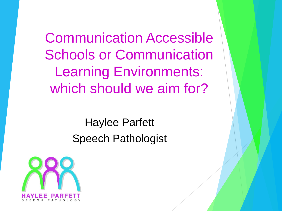Communication Accessible Schools or Communication Learning Environments: which should we aim for?

> Haylee Parfett Speech Pathologist

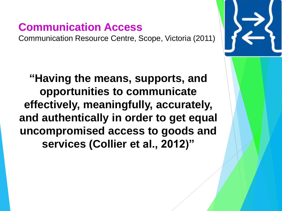## **Communication Access**

Communication Resource Centre, Scope, Victoria (2011)

**"Having the means, supports, and opportunities to communicate effectively, meaningfully, accurately, and authentically in order to get equal uncompromised access to goods and services (Collier et al., 2012)"**

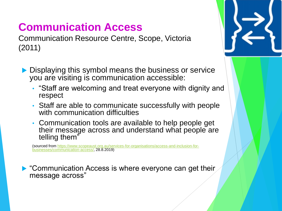# **Communication Access**

Communication Resource Centre, Scope, Victoria (2011)

- Displaying this symbol means the business or service you are visiting is communication accessible:
	- "Staff are welcoming and treat everyone with dignity and respect
	- Staff are able to communicate successfully with people with communication difficulties
	- Communication tools are available to help people get their message across and understand what people are telling them"

[\(sourced from https://www.scopeaust.org.au/services-for-organisations/access-and-inclusion-for](https://www.scopeaust.org.au/services-for-organisations/access-and-inclusion-for-businesses/communication-access/)businesses/communication-access/, 28.8.2019)

▶ "Communication Access is where everyone can get their message across"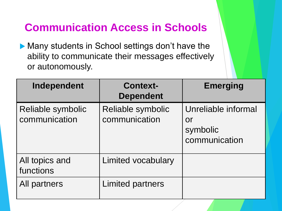## **Communication Access in Schools**

▶ Many students in School settings don't have the ability to communicate their messages effectively or autonomously.

| Independent                        | <b>Context-</b><br><b>Dependent</b> | <b>Emerging</b>                                               |
|------------------------------------|-------------------------------------|---------------------------------------------------------------|
| Reliable symbolic<br>communication | Reliable symbolic<br>communication  | Unreliable informal<br><b>Or</b><br>symbolic<br>communication |
| All topics and<br>functions        | <b>Limited vocabulary</b>           |                                                               |
| All partners                       | <b>Limited partners</b>             |                                                               |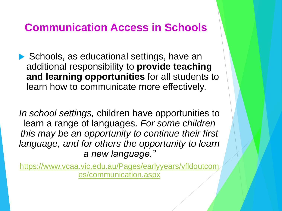#### **Communication Access in Schools**

▶ Schools, as educational settings, have an additional responsibility to **provide teaching and learning opportunities** for all students to learn how to communicate more effectively.

*In school settings,* children have opportunities to learn a range of languages. *For some children this may be an opportunity to continue their first language, and for others the opportunity to learn a new language."*

[https://www.vcaa.vic.edu.au/Pages/earlyyears/vfldoutcom](https://www.vcaa.vic.edu.au/Pages/earlyyears/vfldoutcomes/communication.aspx) es/communication.aspx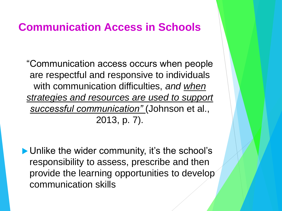#### **Communication Access in Schools**

"Communication access occurs when people are respectful and responsive to individuals with communication difficulties, *and when strategies and resources are used to support successful communication"* (Johnson et al., 2013, p. 7).

▶ Unlike the wider community, it's the school's responsibility to assess, prescribe and then provide the learning opportunities to develop communication skills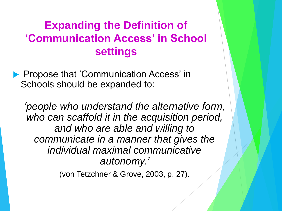## **Expanding the Definition of 'Communication Access' in School settings**

**Propose that 'Communication Access' in** Schools should be expanded to:

*'people who understand the alternative form, who can scaffold it in the acquisition period, and who are able and willing to communicate in a manner that gives the individual maximal communicative autonomy.'*

(von Tetzchner & Grove, 2003, p. 27).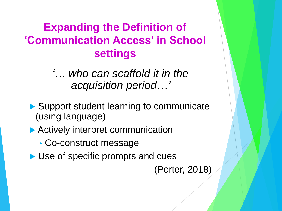## **Expanding the Definition of 'Communication Access' in School settings**

*'… who can scaffold it in the acquisition period…'*

- Support student learning to communicate (using language)
- ▶ Actively interpret communication
	- Co-construct message
- ▶ Use of specific prompts and cues

(Porter, 2018)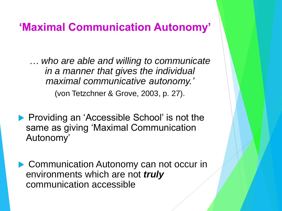#### **'Maximal Communication Autonomy'**

*… who are able and willing to communicate in a manner that gives the individual maximal communicative autonomy.'* (von Tetzchner & Grove, 2003, p. 27).

**Providing an 'Accessible School' is not the** same as giving 'Maximal Communication Autonomy'

▶ Communication Autonomy can not occur in environments which are not *truly* communication accessible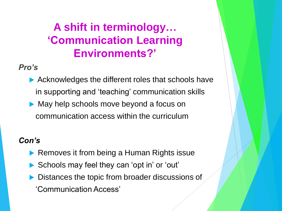## **A shift in terminology… 'Communication Learning Environments?'**

#### *Pro's*

Acknowledges the different roles that schools have in supporting and 'teaching' communication skills May help schools move beyond a focus on communication access within the curriculum

#### *Con's*

- Removes it from being a Human Rights issue
- Schools may feel they can 'opt in' or 'out'
- Distances the topic from broader discussions of
	- 'Communication Access'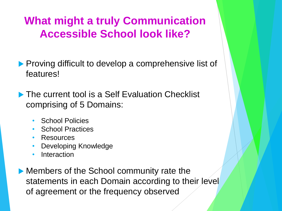## **What might a truly Communication Accessible School look like?**

- **Proving difficult to develop a comprehensive list of** features!
- ▶ The current tool is a Self Evaluation Checklist comprising of 5 Domains:
	- School Policies
	- School Practices
	- Resources
	- Developing Knowledge
	- Interaction
- Members of the School community rate the statements in each Domain according to their level of agreement or the frequency observed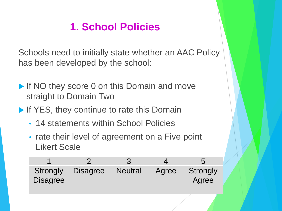## **1. School Policies**

Schools need to initially state whether an AAC Policy has been developed by the school:

- If NO they score 0 on this Domain and move straight to Domain Two
- If YES, they continue to rate this Domain
	- 14 statements within School Policies
	- rate their level of agreement on a Five point Likert Scale

| <b>Strongly</b><br><b>Disagree</b> | <b>Disagree</b> | <b>Neutral</b> | Agree | Strongly<br>Agree |
|------------------------------------|-----------------|----------------|-------|-------------------|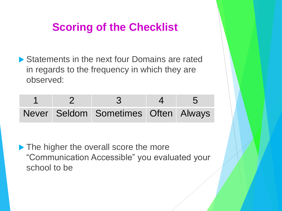## **Scoring of the Checklist**

▶ Statements in the next four Domains are rated in regards to the frequency in which they are observed:

|  | Never Seldom Sometimes Often Always |  |
|--|-------------------------------------|--|

The higher the overall score the more "Communication Accessible" you evaluated your school to be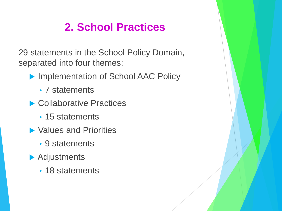# **2. School Practices**

29 statements in the School Policy Domain, separated into four themes:

- ▶ Implementation of School AAC Policy
	- 7 statements
- ▶ Collaborative Practices
	- 15 statements
- ▶ Values and Priorities
	- 9 statements
- **Adjustments** 
	- 18 statements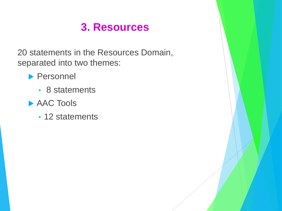### **3. Resources**

20 statements in the Resources Domain, separated into two themes:

#### **Personnel**

- 8 statements
- ▶ AAC Tools
	- 12 statements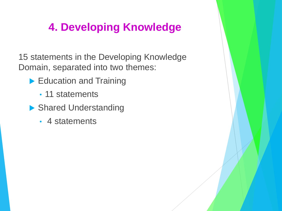## **4. Developing Knowledge**

15 statements in the Developing Knowledge Domain, separated into two themes:

- Education and Training
	- 11 statements
- ▶ Shared Understanding
	- 4 statements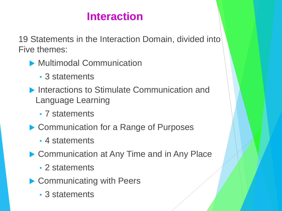## **Interaction**

19 Statements in the Interaction Domain, divided into Five themes:

- **Multimodal Communication** 
	- 3 statements
- **Interactions to Stimulate Communication and** Language Learning
	- 7 statements
- ▶ Communication for a Range of Purposes
	- 4 statements
- ▶ Communication at Any Time and in Any Place
	- 2 statements
- ▶ Communicating with Peers
	- 3 statements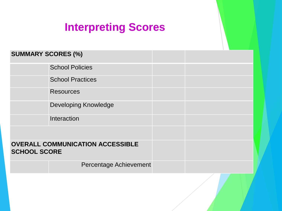## **Interpreting Scores**

| <b>SUMMARY SCORES (%)</b> |                                         |  |  |
|---------------------------|-----------------------------------------|--|--|
|                           | <b>School Policies</b>                  |  |  |
|                           | <b>School Practices</b>                 |  |  |
|                           | <b>Resources</b>                        |  |  |
|                           | <b>Developing Knowledge</b>             |  |  |
|                           | Interaction                             |  |  |
|                           |                                         |  |  |
| <b>SCHOOL SCORE</b>       | <b>OVERALL COMMUNICATION ACCESSIBLE</b> |  |  |
|                           | <b>Percentage Achievement</b>           |  |  |
|                           |                                         |  |  |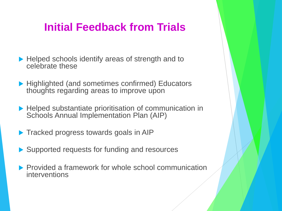## **Initial Feedback from Trials**

- ▶ Helped schools identify areas of strength and to celebrate these
- ▶ Highlighted (and sometimes confirmed) Educators thoughts regarding areas to improve upon
- ▶ Helped substantiate prioritisation of communication in Schools Annual Implementation Plan (AIP)
- **Tracked progress towards goals in AIP**
- ▶ Supported requests for funding and resources
- **Provided a framework for whole school communication** interventions